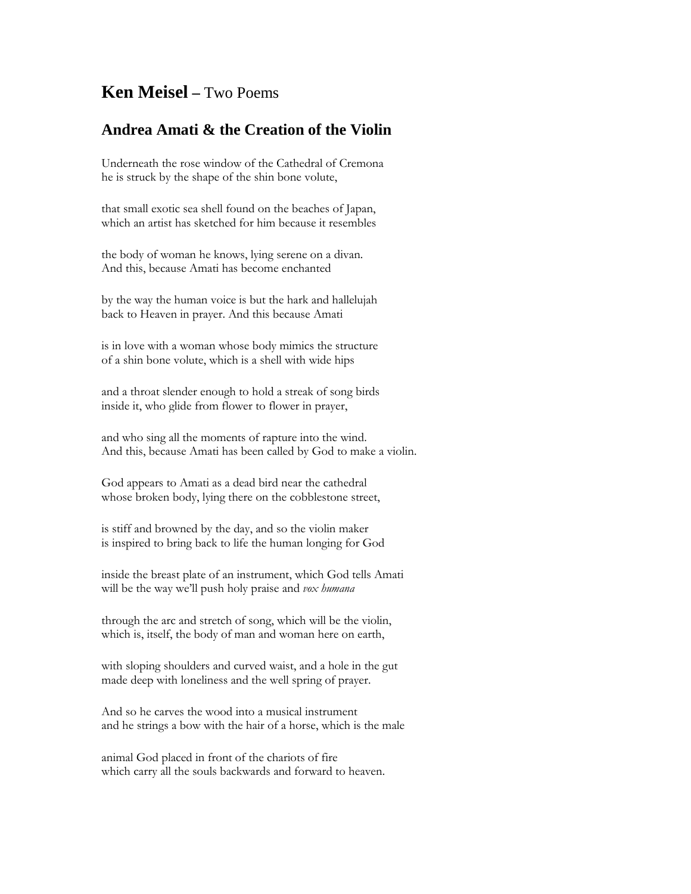## **Ken Meisel –** Two Poems

## **Andrea Amati & the Creation of the Violin**

Underneath the rose window of the Cathedral of Cremona he is struck by the shape of the shin bone volute,

that small exotic sea shell found on the beaches of Japan, which an artist has sketched for him because it resembles

the body of woman he knows, lying serene on a divan. And this, because Amati has become enchanted

by the way the human voice is but the hark and hallelujah back to Heaven in prayer. And this because Amati

is in love with a woman whose body mimics the structure of a shin bone volute, which is a shell with wide hips

and a throat slender enough to hold a streak of song birds inside it, who glide from flower to flower in prayer,

and who sing all the moments of rapture into the wind. And this, because Amati has been called by God to make a violin.

God appears to Amati as a dead bird near the cathedral whose broken body, lying there on the cobblestone street,

is stiff and browned by the day, and so the violin maker is inspired to bring back to life the human longing for God

inside the breast plate of an instrument, which God tells Amati will be the way we'll push holy praise and *vox humana*

through the arc and stretch of song, which will be the violin, which is, itself, the body of man and woman here on earth,

with sloping shoulders and curved waist, and a hole in the gut made deep with loneliness and the well spring of prayer.

And so he carves the wood into a musical instrument and he strings a bow with the hair of a horse, which is the male

animal God placed in front of the chariots of fire which carry all the souls backwards and forward to heaven.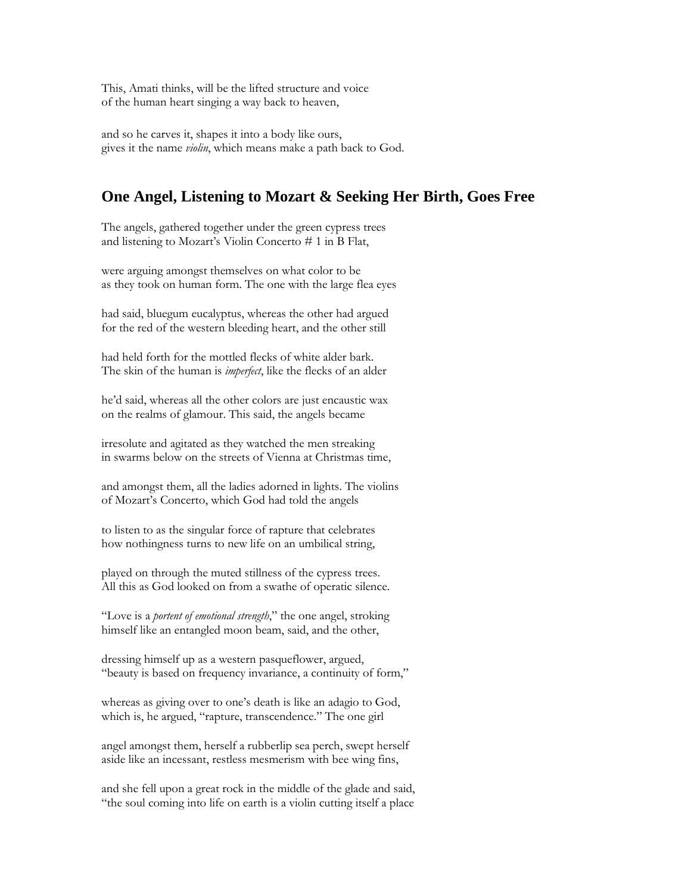This, Amati thinks, will be the lifted structure and voice of the human heart singing a way back to heaven,

and so he carves it, shapes it into a body like ours, gives it the name *violin*, which means make a path back to God.

## **One Angel, Listening to Mozart & Seeking Her Birth, Goes Free**

The angels, gathered together under the green cypress trees and listening to Mozart's Violin Concerto # 1 in B Flat,

were arguing amongst themselves on what color to be as they took on human form. The one with the large flea eyes

had said, bluegum eucalyptus, whereas the other had argued for the red of the western bleeding heart, and the other still

had held forth for the mottled flecks of white alder bark. The skin of the human is *imperfect*, like the flecks of an alder

he'd said, whereas all the other colors are just encaustic wax on the realms of glamour. This said, the angels became

irresolute and agitated as they watched the men streaking in swarms below on the streets of Vienna at Christmas time,

and amongst them, all the ladies adorned in lights. The violins of Mozart's Concerto, which God had told the angels

to listen to as the singular force of rapture that celebrates how nothingness turns to new life on an umbilical string,

played on through the muted stillness of the cypress trees. All this as God looked on from a swathe of operatic silence.

"Love is a *portent of emotional strength*," the one angel, stroking himself like an entangled moon beam, said, and the other,

dressing himself up as a western pasqueflower, argued, "beauty is based on frequency invariance, a continuity of form,"

whereas as giving over to one's death is like an adagio to God, which is, he argued, "rapture, transcendence." The one girl

angel amongst them, herself a rubberlip sea perch, swept herself aside like an incessant, restless mesmerism with bee wing fins,

and she fell upon a great rock in the middle of the glade and said, "the soul coming into life on earth is a violin cutting itself a place